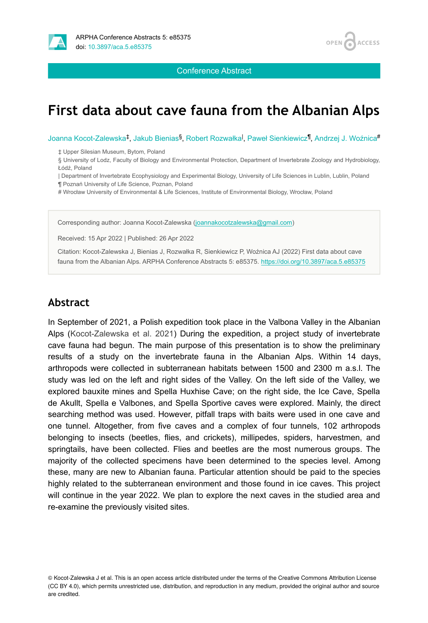

Conference Abstract

# **First data about cave fauna from the Albanian Alps**

**ACCESS** 

**OPEN** 

Joanna Kocot-Zalewska‡, Jakub Bienias<sup>§</sup>, Robert Rozwałka<sup>I</sup>, Paweł Sienkiewicz<sup>¶</sup>, Andrzej J. Woźnica<sup>#</sup>

‡ Upper Silesian Museum, Bytom, Poland

§ University of Lodz, Faculty of Biology and Environmental Protection, Department of Invertebrate Zoology and Hydrobiology, Łódź, Poland

| Department of Invertebrate Ecophysiology and Experimental Biology, University of Life Sciences in Lublin, Lublin, Poland

¶ Poznań University of Life Science, Poznan, Poland

# Wrocław University of Environmental & Life Sciences, Institute of Environmental Biology, Wrocław, Poland

Corresponding author: Joanna Kocot-Zalewska ([joannakocotzalewska@gmail.com](mailto:joannakocotzalewska@gmail.com))

Received: 15 Apr 2022 | Published: 26 Apr 2022

Citation: Kocot-Zalewska J, Bienias J, Rozwałka R, Sienkiewicz P, Woźnica AJ (2022) First data about cave fauna from the Albanian Alps. ARPHA Conference Abstracts 5: e85375. <https://doi.org/10.3897/aca.5.e85375>

#### **Abstract**

In September of 2021, a Polish expedition took place in the Valbona Valley in the Albanian Alps ([Kocot-Zalewska et al. 2021\)](#page-1-0) During the expedition, a project study of invertebrate cave fauna had begun. The main purpose of this presentation is to show the preliminary results of a study on the invertebrate fauna in the Albanian Alps. Within 14 days, arthropods were collected in subterranean habitats between 1500 and 2300 m a.s.l. The study was led on the left and right sides of the Valley. On the left side of the Valley, we explored bauxite mines and Spella Huxhise Cave; on the right side, the Ice Cave, Spella de Akullt, Spella e Valbones, and Spella Sportive caves were explored. Mainly, the direct searching method was used. However, pitfall traps with baits were used in one cave and one tunnel. Altogether, from five caves and a complex of four tunnels, 102 arthropods belonging to insects (beetles, flies, and crickets), millipedes, spiders, harvestmen, and springtails, have been collected. Flies and beetles are the most numerous groups. The majority of the collected specimens have been determined to the species level. Among these, many are new to Albanian fauna. Particular attention should be paid to the species highly related to the subterranean environment and those found in ice caves. This project will continue in the year 2022. We plan to explore the next caves in the studied area and re-examine the previously visited sites.

© Kocot-Zalewska J et al. This is an open access article distributed under the terms of the Creative Commons Attribution License (CC BY 4.0), which permits unrestricted use, distribution, and reproduction in any medium, provided the original author and source are credited.